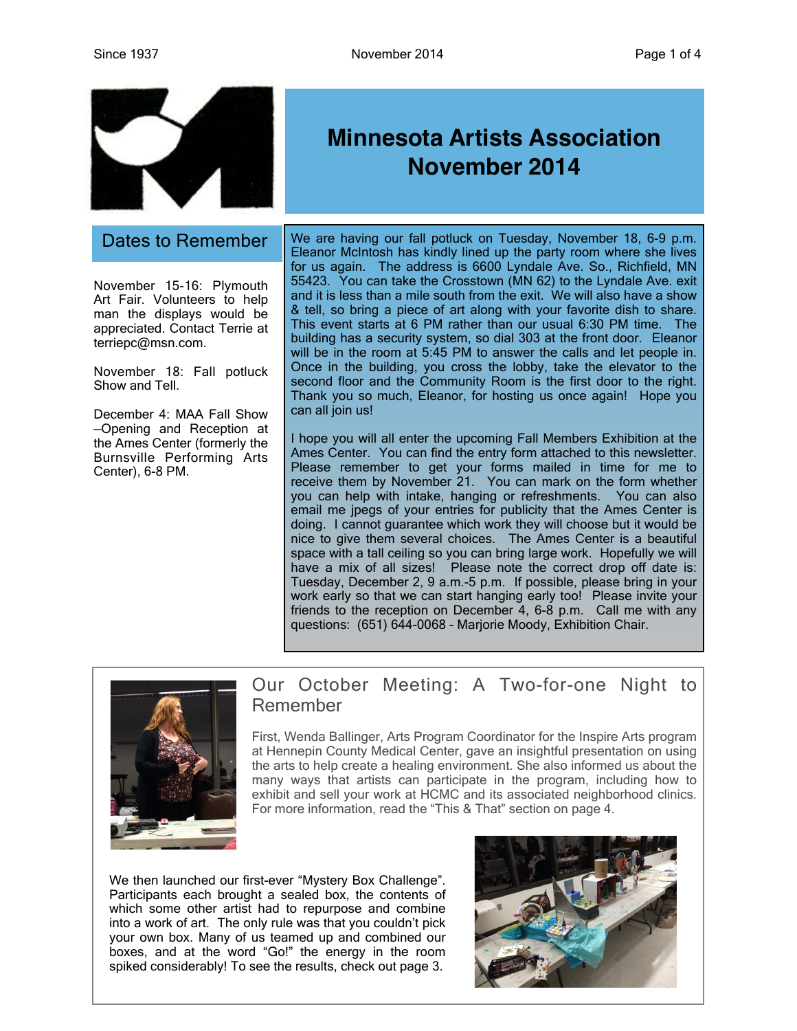

November 15-16: Plymouth Art Fair. Volunteers to help man the displays would be appreciated. Contact Terrie at terriepc@msn.com.

November 18: Fall potluck Show and Tell.

December 4: MAA Fall Show —Opening and Reception at the Ames Center (formerly the Burnsville Performing Arts Center), 6-8 PM.

## **Minnesota Artists Association November 2014**

Dates to Remember | We are having our fall potluck on Tuesday, November 18, 6-9 p.m. Eleanor McIntosh has kindly lined up the party room where she lives for us again. The address is 6600 Lyndale Ave. So., Richfield, MN 55423. You can take the Crosstown (MN 62) to the Lyndale Ave. exit and it is less than a mile south from the exit. We will also have a show & tell, so bring a piece of art along with your favorite dish to share. This event starts at 6 PM rather than our usual 6:30 PM time. The building has a security system, so dial 303 at the front door. Eleanor will be in the room at 5:45 PM to answer the calls and let people in. Once in the building, you cross the lobby, take the elevator to the second floor and the Community Room is the first door to the right. Thank you so much, Eleanor, for hosting us once again! Hope you can all join us!

> I hope you will all enter the upcoming Fall Members Exhibition at the Ames Center. You can find the entry form attached to this newsletter. Please remember to get your forms mailed in time for me to receive them by November 21. You can mark on the form whether you can help with intake, hanging or refreshments. You can also email me jpegs of your entries for publicity that the Ames Center is doing. I cannot guarantee which work they will choose but it would be nice to give them several choices. The Ames Center is a beautiful space with a tall ceiling so you can bring large work. Hopefully we will have a mix of all sizes! Please note the correct drop off date is: Tuesday, December 2, 9 a.m.-5 p.m. If possible, please bring in your work early so that we can start hanging early too! Please invite your friends to the reception on December 4, 6-8 p.m. Call me with any questions: (651) 644-0068 - Marjorie Moody, Exhibition Chair.



### Our October Meeting: A Two-for-one Night to Remember

First, Wenda Ballinger, Arts Program Coordinator for the Inspire Arts program at Hennepin County Medical Center, gave an insightful presentation on using the arts to help create a healing environment. She also informed us about the many ways that artists can participate in the program, including how to exhibit and sell your work at HCMC and its associated neighborhood clinics. For more information, read the "This & That" section on page 4.

We then launched our first-ever "Mystery Box Challenge". Participants each brought a sealed box, the contents of which some other artist had to repurpose and combine into a work of art. The only rule was that you couldn't pick your own box. Many of us teamed up and combined our boxes, and at the word "Go!" the energy in the room spiked considerably! To see the results, check out page 3.

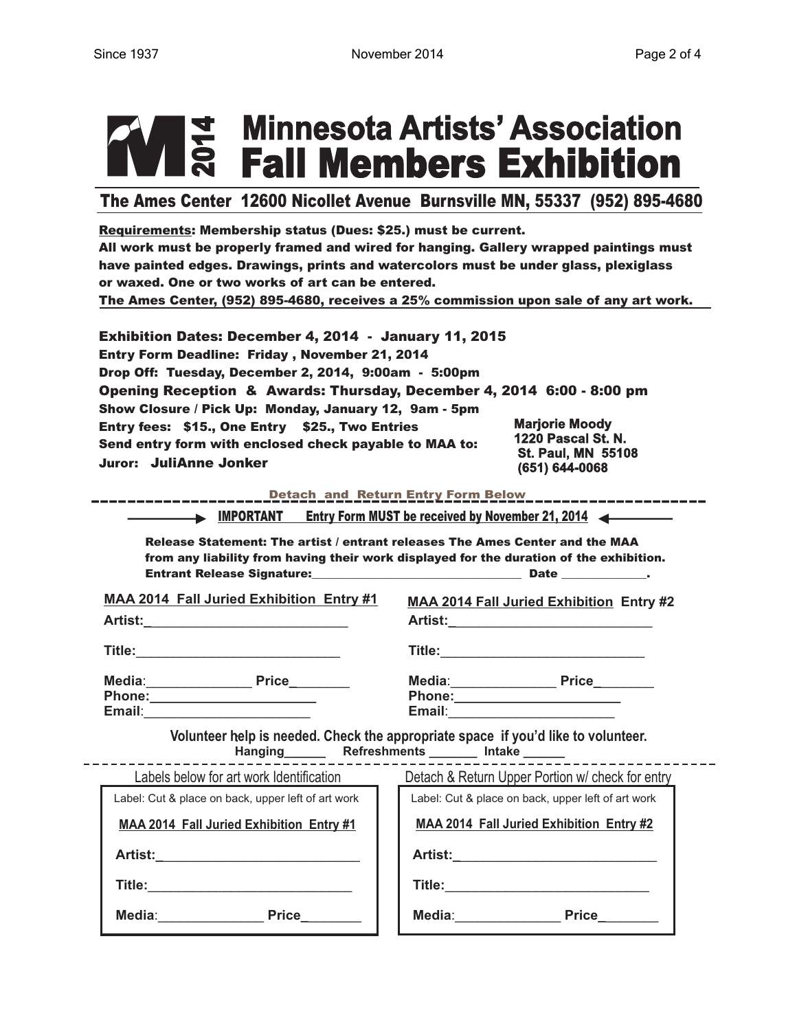# **|본 Minnesota Artists' Association<br>|응 Fall Members Exhibition**

The Ames Center 12600 Nicollet Avenue Burnsville MN, 55337 (952) 895-4680

Requirements: Membership status (Dues: \$25.) must be current. All work must be properly framed and wired for hanging. Gallery wrapped paintings must have painted edges. Drawings, prints and watercolors must be under glass, plexiglass or waxed. One or two works of art can be entered. The Ames Center, (952) 895-4680, receives a 25% commission upon sale of any art work.

| <b>Exhibition Dates: December 4, 2014 - January 11, 2015</b><br>Entry Form Deadline: Friday, November 21, 2014<br>Drop Off: Tuesday, December 2, 2014, 9:00am - 5:00pm |                                                                   |
|------------------------------------------------------------------------------------------------------------------------------------------------------------------------|-------------------------------------------------------------------|
| Opening Reception & Awards: Thursday, December 4, 2014 6:00 - 8:00 pm                                                                                                  |                                                                   |
| Show Closure / Pick Up: Monday, January 12, 9am - 5pm                                                                                                                  | <b>Marjorie Moody</b>                                             |
| Entry fees: \$15., One Entry \$25., Two Entries<br>Send entry form with enclosed check payable to MAA to:<br>Juror: JuliAnne Jonker                                    | 1220 Pascal St. N.<br><b>St. Paul, MN 55108</b><br>(651) 644-0068 |

Detach and Return Entry Form Below

IMPORTANT Entry Form MUST be received by November 21, 2014

Release Statement: The artist / entrant releases The Ames Center and the MAA from any liability from having their work displayed for the duration of the exhibition. 

**MAA 2014 Fall Juried Exhibition Entry #1** 

Media: Price **Phone:** Email:

| <b>MAA 2014 Fall Juried Exhibition Entry #2</b> |              |  |
|-------------------------------------------------|--------------|--|
| Artist:                                         |              |  |
| Title:                                          |              |  |
| Media:                                          | <b>Price</b> |  |

Phone: Email: The Contract of the Contract of the Contract of the Contract of the Contract of the Contract of the Contract of the Contract of the Contract of the Contract of the Contract of the Contract of the Contract of the Con

Volunteer help is needed. Check the appropriate space if you'd like to volunteer. Hanging Refreshments Intake

| Labels below for art work Identification           | Detach & Return Upper Portion w/ check for entry   |
|----------------------------------------------------|----------------------------------------------------|
| Label: Cut & place on back, upper left of art work | Label: Cut & place on back, upper left of art work |
| <b>MAA 2014 Fall Juried Exhibition Entry #1</b>    | <b>MAA 2014 Fall Juried Exhibition Entry #2</b>    |
| <b>Artist:</b>                                     | Artist:                                            |
| Title:                                             | Title:                                             |
| Media:<br>Price                                    | Media:<br><b>Price</b>                             |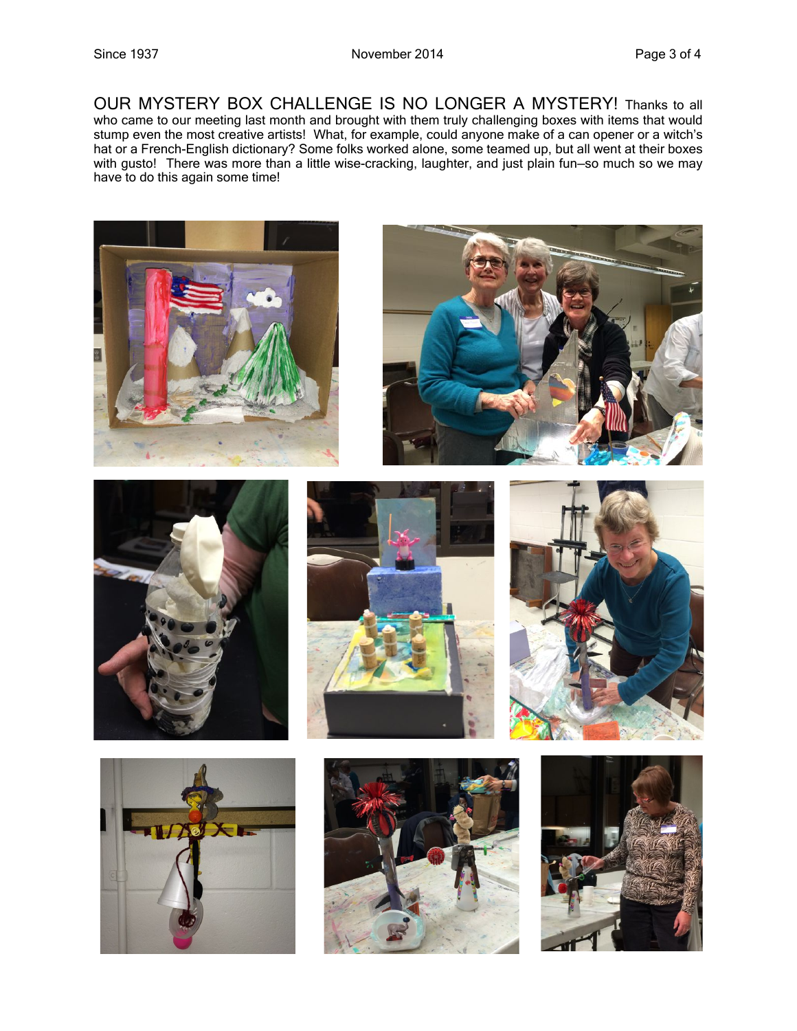OUR MYSTERY BOX CHALLENGE IS NO LONGER A MYSTERY! Thanks to all who came to our meeting last month and brought with them truly challenging boxes with items that would stump even the most creative artists! What, for example, could anyone make of a can opener or a witch's hat or a French-English dictionary? Some folks worked alone, some teamed up, but all went at their boxes with gusto! There was more than a little wise-cracking, laughter, and just plain fun-so much so we may have to do this again some time!